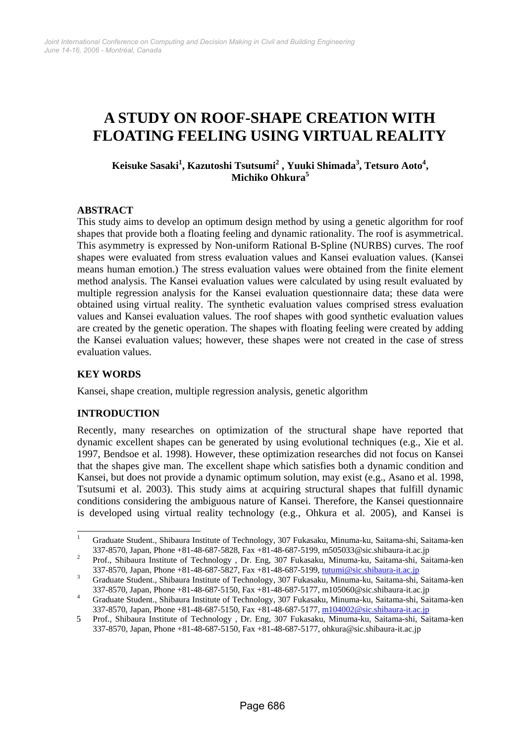# **A STUDY ON ROOF-SHAPE CREATION WITH FLOATING FEELING USING VIRTUAL REALITY**

## **Keisuke Sasaki<sup>1</sup> , Kazutoshi Tsutsumi<sup>2</sup> , Yuuki Shimada<sup>3</sup> , Tetsuro Aoto4 , Michiko Ohkura<sup>5</sup>**

## **ABSTRACT**

This study aims to develop an optimum design method by using a genetic algorithm for roof shapes that provide both a floating feeling and dynamic rationality. The roof is asymmetrical. This asymmetry is expressed by Non-uniform Rational B-Spline (NURBS) curves. The roof shapes were evaluated from stress evaluation values and Kansei evaluation values. (Kansei means human emotion.) The stress evaluation values were obtained from the finite element method analysis. The Kansei evaluation values were calculated by using result evaluated by multiple regression analysis for the Kansei evaluation questionnaire data; these data were obtained using virtual reality. The synthetic evaluation values comprised stress evaluation values and Kansei evaluation values. The roof shapes with good synthetic evaluation values are created by the genetic operation. The shapes with floating feeling were created by adding the Kansei evaluation values; however, these shapes were not created in the case of stress evaluation values.

#### **KEY WORDS**

Kansei, shape creation, multiple regression analysis, genetic algorithm

#### **INTRODUCTION**

Recently, many researches on optimization of the structural shape have reported that dynamic excellent shapes can be generated by using evolutional techniques (e.g., Xie et al. 1997, Bendsoe et al. 1998). However, these optimization researches did not focus on Kansei that the shapes give man. The excellent shape which satisfies both a dynamic condition and Kansei, but does not provide a dynamic optimum solution, may exist (e.g., Asano et al. 1998, Tsutsumi et al. 2003). This study aims at acquiring structural shapes that fulfill dynamic conditions considering the ambiguous nature of Kansei. Therefore, the Kansei questionnaire is developed using virtual reality technology (e.g., Ohkura et al. 2005), and Kansei is

 $\frac{1}{1}$  Graduate Student., Shibaura Institute of Technology, 307 Fukasaku, Minuma-ku, Saitama-shi, Saitama-ken 337-8570, Japan, Phone +81-48-687-5828, Fax +81-48-687-5199, m505033@sic.shibaura-it.ac.jp 2

Prof., Shibaura Institute of Technology , Dr. Eng, 307 Fukasaku, Minuma-ku, Saitama-shi, Saitama-ken 337-8570, Japan, Phone +81-48-687-5827, Fax +81-48-687-5199, tutumi@sic.shibaura-it.ac.jp

Graduate Student., Shibaura Institute of Technology, 307 Fukasaku, Minuma-ku, Saitama-shi, Saitama-ken 337-8570, Japan, Phone +81-48-687-5150, Fax +81-48-687-5177, m105060@sic.shibaura-it.ac.jp 4

Graduate Student., Shibaura Institute of Technology, 307 Fukasaku, Minuma-ku, Saitama-shi, Saitama-ken 337-8570, Japan, Phone +81-48-687-5150, Fax +81-48-687-5177, m104002@sic.shibaura-it.ac.jp

<sup>5</sup> Prof., Shibaura Institute of Technology , Dr. Eng, 307 Fukasaku, Minuma-ku, Saitama-shi, Saitama-ken 337-8570, Japan, Phone +81-48-687-5150, Fax +81-48-687-5177, ohkura@sic.shibaura-it.ac.jp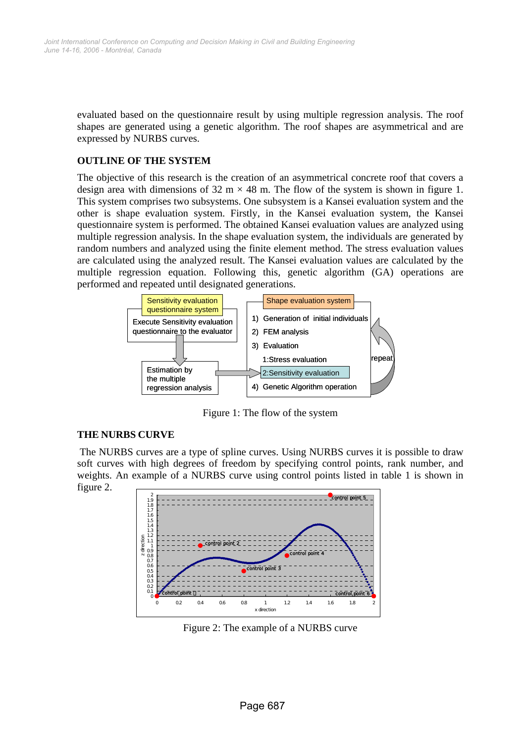evaluated based on the questionnaire result by using multiple regression analysis. The roof shapes are generated using a genetic algorithm. The roof shapes are asymmetrical and are expressed by NURBS curves.

## **OUTLINE OF THE SYSTEM**

The objective of this research is the creation of an asymmetrical concrete roof that covers a design area with dimensions of 32 m  $\times$  48 m. The flow of the system is shown in figure 1. This system comprises two subsystems. One subsystem is a Kansei evaluation system and the other is shape evaluation system. Firstly, in the Kansei evaluation system, the Kansei questionnaire system is performed. The obtained Kansei evaluation values are analyzed using multiple regression analysis. In the shape evaluation system, the individuals are generated by random numbers and analyzed using the finite element method. The stress evaluation values are calculated using the analyzed result. The Kansei evaluation values are calculated by the multiple regression equation. Following this, genetic algorithm (GA) operations are performed and repeated until designated generations.



Figure 1: The flow of the system

#### **THE NURBS CURVE**

 The NURBS curves are a type of spline curves. Using NURBS curves it is possible to draw soft curves with high degrees of freedom by specifying control points, rank number, and weights. An example of a NURBS curve using control points listed in table 1 is shown in





Figure 2: The example of a NURBS curve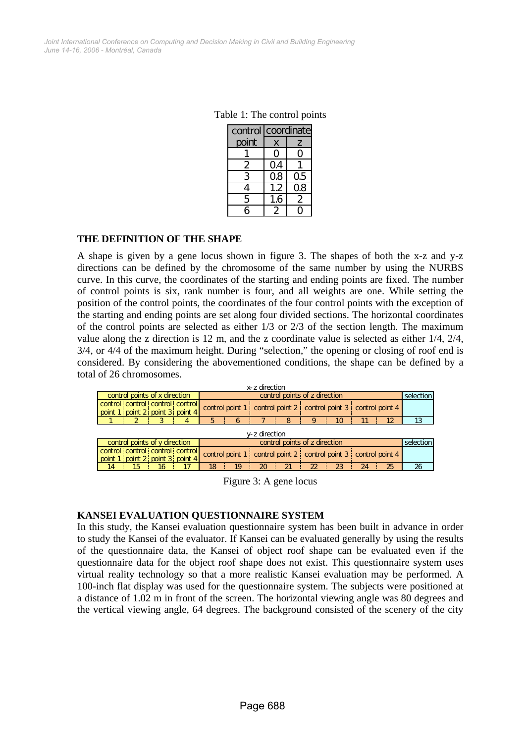Table 1: The control points

|       | control coordinate |    |  |  |
|-------|--------------------|----|--|--|
| point | X                  | 7  |  |  |
|       |                    |    |  |  |
| ン     | Q4                 |    |  |  |
| 3     | Ω8                 | Ω5 |  |  |
| 4     | 1.2                | Q8 |  |  |
| 5     | 1.6                | 2  |  |  |
|       |                    |    |  |  |

#### **THE DEFINITION OF THE SHAPE**

A shape is given by a gene locus shown in figure 3. The shapes of both the x-z and y-z directions can be defined by the chromosome of the same number by using the NURBS curve. In this curve, the coordinates of the starting and ending points are fixed. The number of control points is six, rank number is four, and all weights are one. While setting the position of the control points, the coordinates of the four control points with the exception of the starting and ending points are set along four divided sections. The horizontal coordinates of the control points are selected as either 1/3 or 2/3 of the section length. The maximum value along the z direction is 12 m, and the z coordinate value is selected as either 1/4, 2/4, 3/4, or 4/4 of the maximum height. During "selection," the opening or closing of roof end is considered. By considering the abovementioned conditions, the shape can be defined by a total of 26 chromosomes.

| x-z direction                                                  |                                                                    |                                                                |  |    |           |  |                                                                       |    |    |    |    |    |
|----------------------------------------------------------------|--------------------------------------------------------------------|----------------------------------------------------------------|--|----|-----------|--|-----------------------------------------------------------------------|----|----|----|----|----|
| control points of x direction<br>control points of z direction |                                                                    |                                                                |  |    | selection |  |                                                                       |    |    |    |    |    |
|                                                                | control control control control<br>point 1 point 2 point 3 point 4 |                                                                |  |    |           |  | control point 1 control point 2 control point 3 control point 4       |    |    |    |    |    |
|                                                                |                                                                    |                                                                |  | 5  |           |  | 8                                                                     |    | 10 |    |    |    |
| v-z direction                                                  |                                                                    |                                                                |  |    |           |  |                                                                       |    |    |    |    |    |
|                                                                |                                                                    | control points of z direction<br>control points of y direction |  |    |           |  | selection                                                             |    |    |    |    |    |
|                                                                | control control control control<br>point 1 point 2 point 3 point 4 |                                                                |  |    |           |  | control point 1 : control point 2 : control point 3 : control point 4 |    |    |    |    |    |
| 14                                                             | 15                                                                 | 16                                                             |  | 18 | 19        |  | 21                                                                    | ႒ာ | 23 | 24 | 25 | 26 |

Figure 3: A gene locus

#### **KANSEI EVALUATION QUESTIONNAIRE SYSTEM**

In this study, the Kansei evaluation questionnaire system has been built in advance in order to study the Kansei of the evaluator. If Kansei can be evaluated generally by using the results of the questionnaire data, the Kansei of object roof shape can be evaluated even if the questionnaire data for the object roof shape does not exist. This questionnaire system uses virtual reality technology so that a more realistic Kansei evaluation may be performed. A 100-inch flat display was used for the questionnaire system. The subjects were positioned at a distance of 1.02 m in front of the screen. The horizontal viewing angle was 80 degrees and the vertical viewing angle, 64 degrees. The background consisted of the scenery of the city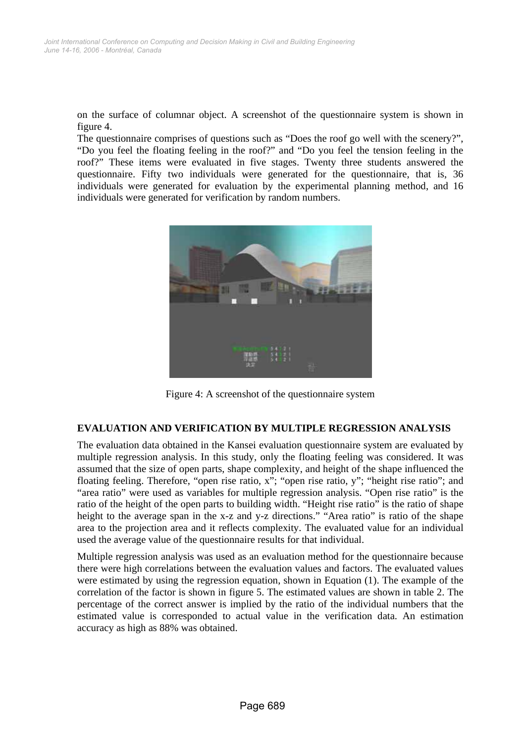on the surface of columnar object. A screenshot of the questionnaire system is shown in figure 4.

The questionnaire comprises of questions such as "Does the roof go well with the scenery?", "Do you feel the floating feeling in the roof?" and "Do you feel the tension feeling in the roof?" These items were evaluated in five stages. Twenty three students answered the questionnaire. Fifty two individuals were generated for the questionnaire, that is, 36 individuals were generated for evaluation by the experimental planning method, and 16 individuals were generated for verification by random numbers.



Figure 4: A screenshot of the questionnaire system

#### **EVALUATION AND VERIFICATION BY MULTIPLE REGRESSION ANALYSIS**

The evaluation data obtained in the Kansei evaluation questionnaire system are evaluated by multiple regression analysis. In this study, only the floating feeling was considered. It was assumed that the size of open parts, shape complexity, and height of the shape influenced the floating feeling. Therefore, "open rise ratio, x"; "open rise ratio, y"; "height rise ratio"; and "area ratio" were used as variables for multiple regression analysis. "Open rise ratio" is the ratio of the height of the open parts to building width. "Height rise ratio" is the ratio of shape height to the average span in the x-z and y-z directions." "Area ratio" is ratio of the shape area to the projection area and it reflects complexity. The evaluated value for an individual used the average value of the questionnaire results for that individual.

Multiple regression analysis was used as an evaluation method for the questionnaire because there were high correlations between the evaluation values and factors. The evaluated values were estimated by using the regression equation, shown in Equation (1). The example of the correlation of the factor is shown in figure 5. The estimated values are shown in table 2. The percentage of the correct answer is implied by the ratio of the individual numbers that the estimated value is corresponded to actual value in the verification data. An estimation accuracy as high as 88% was obtained.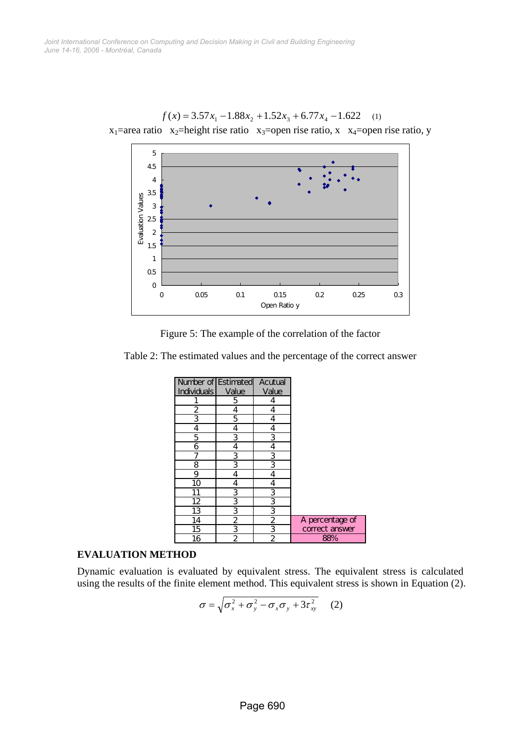

 $f(x) = 3.57x_1 - 1.88x_2 + 1.52x_3 + 6.77x_4 - 1.622$  (1)  $x_1$ =area ratio  $x_2$ =height rise ratio  $x_3$ =open rise ratio, x  $x_4$ =open rise ratio, y



Table 2: The estimated values and the percentage of the correct answer

| Number of Estimated |                         | Acutual        |                 |
|---------------------|-------------------------|----------------|-----------------|
| <b>Individuals</b>  | Value                   | Value          |                 |
|                     | 5                       | 4              |                 |
| 2                   | 4                       | 4              |                 |
| 3                   | 5                       | 4              |                 |
| 4                   | 4                       | 4              |                 |
| 5                   | 3                       | 3              |                 |
| 6                   | 4                       | 4              |                 |
|                     | 3                       | 3              |                 |
| 8                   | 3                       | 3              |                 |
| 9                   | 4                       | 4              |                 |
| 10                  | 4                       | 4              |                 |
| 11                  | <u>3</u>                | <u>3</u>       |                 |
| $\overline{12}$     | $\overline{\mathbf{3}}$ | $\overline{3}$ |                 |
| $\overline{13}$     | 3                       | 3              |                 |
| 14                  | 2                       | $\overline{2}$ | A percentage of |
| 15                  | 3                       | $\frac{3}{2}$  | correct answer  |
| 16                  | $\overline{2}$          |                | 88%             |

#### **EVALUATION METHOD**

Dynamic evaluation is evaluated by equivalent stress. The equivalent stress is calculated using the results of the finite element method. This equivalent stress is shown in Equation (2).

$$
\sigma = \sqrt{\sigma_x^2 + \sigma_y^2 - \sigma_x \sigma_y + 3\tau_{xy}^2}
$$
 (2)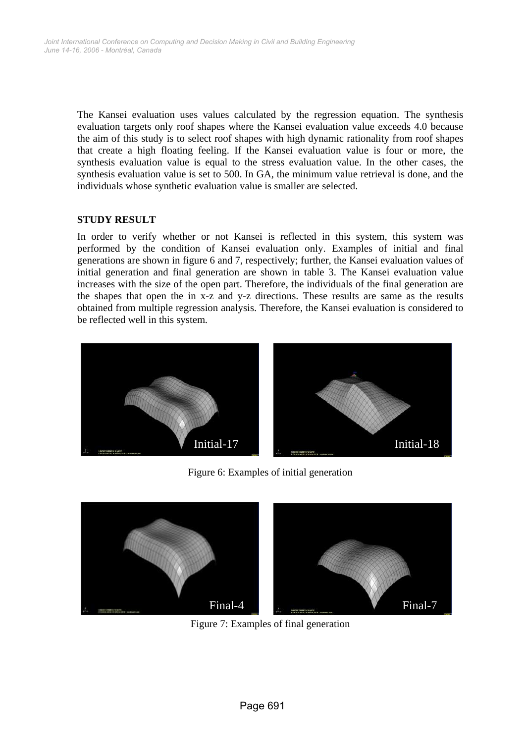The Kansei evaluation uses values calculated by the regression equation. The synthesis evaluation targets only roof shapes where the Kansei evaluation value exceeds 4.0 because the aim of this study is to select roof shapes with high dynamic rationality from roof shapes that create a high floating feeling. If the Kansei evaluation value is four or more, the synthesis evaluation value is equal to the stress evaluation value. In the other cases, the synthesis evaluation value is set to 500. In GA, the minimum value retrieval is done, and the individuals whose synthetic evaluation value is smaller are selected.

## **STUDY RESULT**

In order to verify whether or not Kansei is reflected in this system, this system was performed by the condition of Kansei evaluation only. Examples of initial and final generations are shown in figure 6 and 7, respectively; further, the Kansei evaluation values of initial generation and final generation are shown in table 3. The Kansei evaluation value increases with the size of the open part. Therefore, the individuals of the final generation are the shapes that open the in x-z and y-z directions. These results are same as the results obtained from multiple regression analysis. Therefore, the Kansei evaluation is considered to be reflected well in this system.



Figure 6: Examples of initial generation



Figure 7: Examples of final generation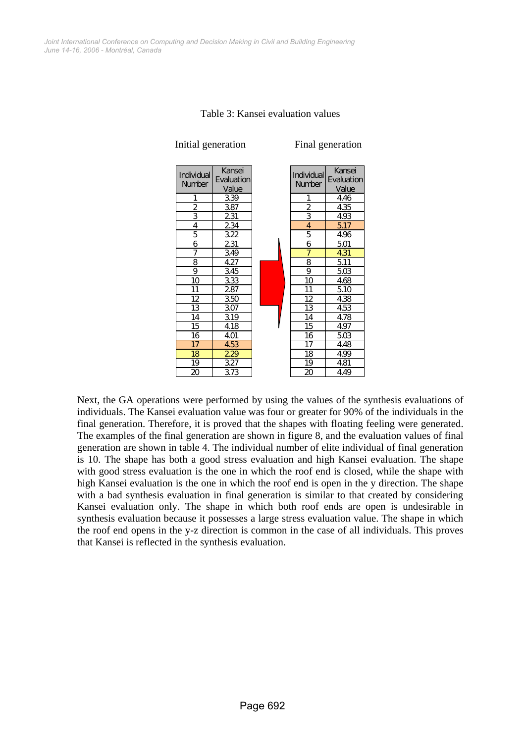

Table 3: Kansei evaluation values

Next, the GA operations were performed by using the values of the synthesis evaluations of individuals. The Kansei evaluation value was four or greater for 90% of the individuals in the final generation. Therefore, it is proved that the shapes with floating feeling were generated. The examples of the final generation are shown in figure 8, and the evaluation values of final generation are shown in table 4. The individual number of elite individual of final generation is 10. The shape has both a good stress evaluation and high Kansei evaluation. The shape with good stress evaluation is the one in which the roof end is closed, while the shape with high Kansei evaluation is the one in which the roof end is open in the y direction. The shape with a bad synthesis evaluation in final generation is similar to that created by considering Kansei evaluation only. The shape in which both roof ends are open is undesirable in synthesis evaluation because it possesses a large stress evaluation value. The shape in which the roof end opens in the y-z direction is common in the case of all individuals. This proves that Kansei is reflected in the synthesis evaluation.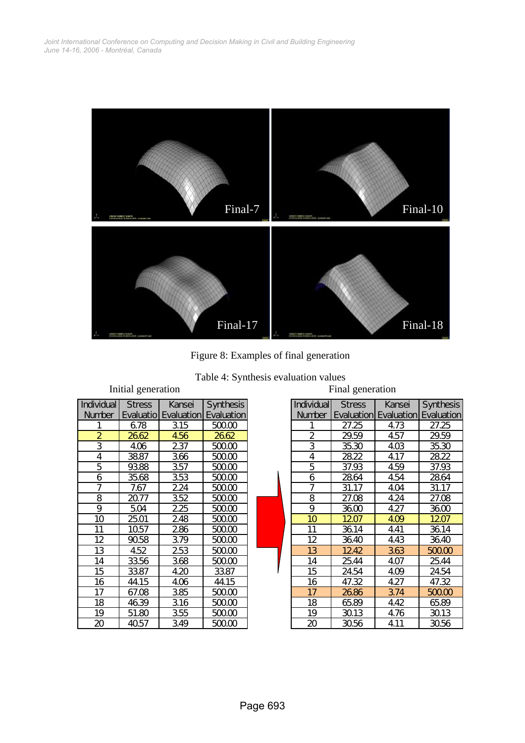

Figure 8: Examples of final generation

| Table 4: Synthesis evaluation values |  |  |
|--------------------------------------|--|--|
|--------------------------------------|--|--|

| mnuar generation |               |                                        |                  |  |  |  |
|------------------|---------------|----------------------------------------|------------------|--|--|--|
| Individual       | <b>Stress</b> | Kansei                                 | <b>Synthesis</b> |  |  |  |
| Number           |               | <b>Evaluatio Evaluation Evaluation</b> |                  |  |  |  |
| 1                | 678           | 315                                    | 500.00           |  |  |  |
| $\overline{2}$   | 2662          | 456                                    | 2662             |  |  |  |
| 3                | 406           | 237                                    | 500.00           |  |  |  |
| 4                | 3887          | 366                                    | 500.00           |  |  |  |
| 5                | 93.88         | 357                                    | 500.00           |  |  |  |
| 6                | 35.68         | 353                                    | 500.00           |  |  |  |
| 7                | 7.67          | 224                                    | 500.00           |  |  |  |
| 8                | 2077          | 352                                    | 500.00           |  |  |  |
| 9                | 504           | 225                                    | 500.00           |  |  |  |
| 10               | 25.01         | 248                                    | 50000            |  |  |  |
| 11               | 1057          | 286                                    | 500.00           |  |  |  |
| 12               | 9058          | 379                                    | 50000            |  |  |  |
| 13               | 4.52          | 253                                    | 50000            |  |  |  |
| 14               | 3356          | 368                                    | 500.00           |  |  |  |
| 15               | 3387          | 4.20                                   | 3387             |  |  |  |
| 16               | 44.15         | 406                                    | 44.15            |  |  |  |
| 17               | 67.08         | 385                                    | 500.00           |  |  |  |
| 18               | 4639          | 316                                    | 50000            |  |  |  |
| 19               | 51.80         | 355                                    | 50000            |  |  |  |
| 20               | 4057          | 349                                    | 500.00           |  |  |  |

|                  | mittal generation |                       |                   | T mar generation  |               |                                         |           |  |  |
|------------------|-------------------|-----------------------|-------------------|-------------------|---------------|-----------------------------------------|-----------|--|--|
| vidual           | <b>Stress</b>     | Kansei                | <b>Synthesis</b>  | <b>Individual</b> | <b>Stress</b> | Kansei                                  | Synthesis |  |  |
| mber             |                   | Evaluatiol Evaluation | <b>Evaluation</b> | <b>Number</b>     |               | <b>Evaluation Evaluation Evaluation</b> |           |  |  |
| $\mathbf{1}$     | 678               | 315                   | 500.00            | 1                 | 27.25         | 4.73                                    | 27.25     |  |  |
| $\overline{2}$   | 2662              | 456                   | 2662              | $\overline{2}$    | 29.59         | 4.57                                    | 29.59     |  |  |
| $\overline{3}$   | 406               | 237                   | 500.00            | 3                 | 35.30         | 4 <sub>0</sub>                          | 35.30     |  |  |
| $\overline{4}$   | 3887              | 366                   | 500.00            | 4                 | 2822          | 4.17                                    | 2822      |  |  |
| $\overline{5}$   | 9388              | 357                   | 500.00            | 5                 | 37.93         | 4.59                                    | 37.93     |  |  |
| $\boldsymbol{6}$ | 35.68             | 353                   | 500.00            | 6                 | 2864          | 4.54                                    | 2864      |  |  |
| $\overline{7}$   | 7.67              | 224                   | 500.00            | $\overline{7}$    | 31.17         | 4.04                                    | 31.17     |  |  |
| $\overline{8}$   | 20.77             | 352                   | 500.00            | 8                 | 27.08         | 4.24                                    | 27.08     |  |  |
| $\overline{9}$   | 504               | 225                   | 500.00            | 9                 | 3600          | 4.27                                    | 3600      |  |  |
| $\overline{10}$  | 25.01             | 248                   | 500.00            | 10                | 1207          | 409                                     | 1207      |  |  |
| 11               | 1057              | 286                   | 500.00            | 11                | 3614          | 4.41                                    | 3614      |  |  |
| 12               | 9058              | 379                   | 500.00            | 12                | 3640          | 4.43                                    | 3640      |  |  |
| 13               | 4.52              | 253                   | 500.00            | 13                | 1242          | 363                                     | 500.00    |  |  |
| 14               | 3356              | 368                   | 500.00            | 14                | 2544          | 4.07                                    | 25.44     |  |  |
| 15               | 33.87             | 4.20                  | 3387              | 15                | 24.54         | 4.09                                    | 24.54     |  |  |
| $\overline{16}$  | 44.15             | 406                   | 44.15             | 16                | 47.32         | 4.27                                    | 47.32     |  |  |
| 17               | 67.08             | 385                   | 500.00            | 17                | 2686          | 374                                     | 500.00    |  |  |
| 18               | 4639              | 316                   | 500.00            | 18                | 6589          | 4.42                                    | 65.89     |  |  |
| 19               | 51.80             | 355                   | 500.00            | 19                | 3013          | 4.76                                    | 3013      |  |  |
| 20               | 4057              | 349                   | 500.00            | 20                | 3056          | 4.11                                    | 3056      |  |  |

# Initial generation Final generation